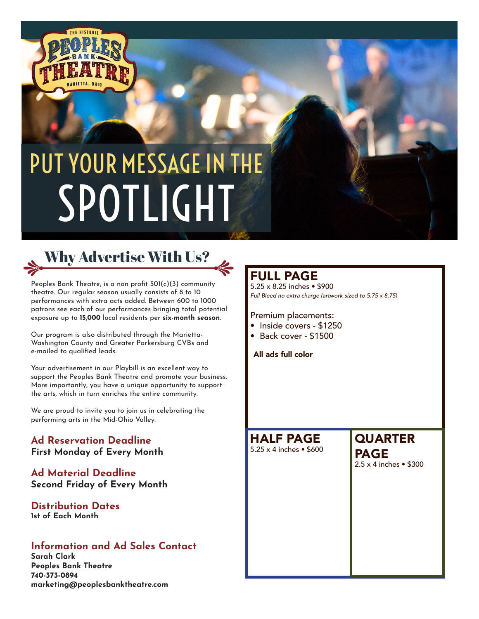

# PUT YOUR MESSAGE IN THE SPOTLIGHT

# Why Advertise With Us?

Peoples Bank Theatre, is a non profit 501(c)(3) community theatre. Our regular season usually consists of 8 to 10 performances with extra acts added. Between 600 to 1000 patrons see each of our performances bringing total potential exposure up to **15,000** local residents per **six-month season**.

Our program is also distributed through the Marietta-Washington County and Greater Parkersburg CVBs and e-mailed to qualified leads.

Your advertisement in our Playbill is an excellent way to support the Peoples Bank Theatre and promote your business. More importantly, you have a unique opportunity to support the arts, which in turn enriches the entire community.

We are proud to invite you to join us in celebrating the performing arts in the Mid-Ohio Valley.

#### **Ad Reservation Deadline First Monday of Every Month**

#### **Ad Material Deadline Second Friday of Every Month**

#### **Distribution Dates 1st of Each Month**

#### **Information and Ad Sales Contact**

**Sarah Clark Peoples Bank Theatre 740-373-0894 marketing@peoplesbanktheatre.com**

## FULL PAGE

5.25 x 8.25 inches • \$900 *Full Bleed no extra charge (artwork sized to 5.75 x 8.75)*

#### Premium placements:

- Inside covers \$1250
- Back cover \$1500

All ads full color

HALF PAGE 5.25 x 4 inches • \$600

# **QUARTER** PAGE

2.5 x 4 inches • \$300